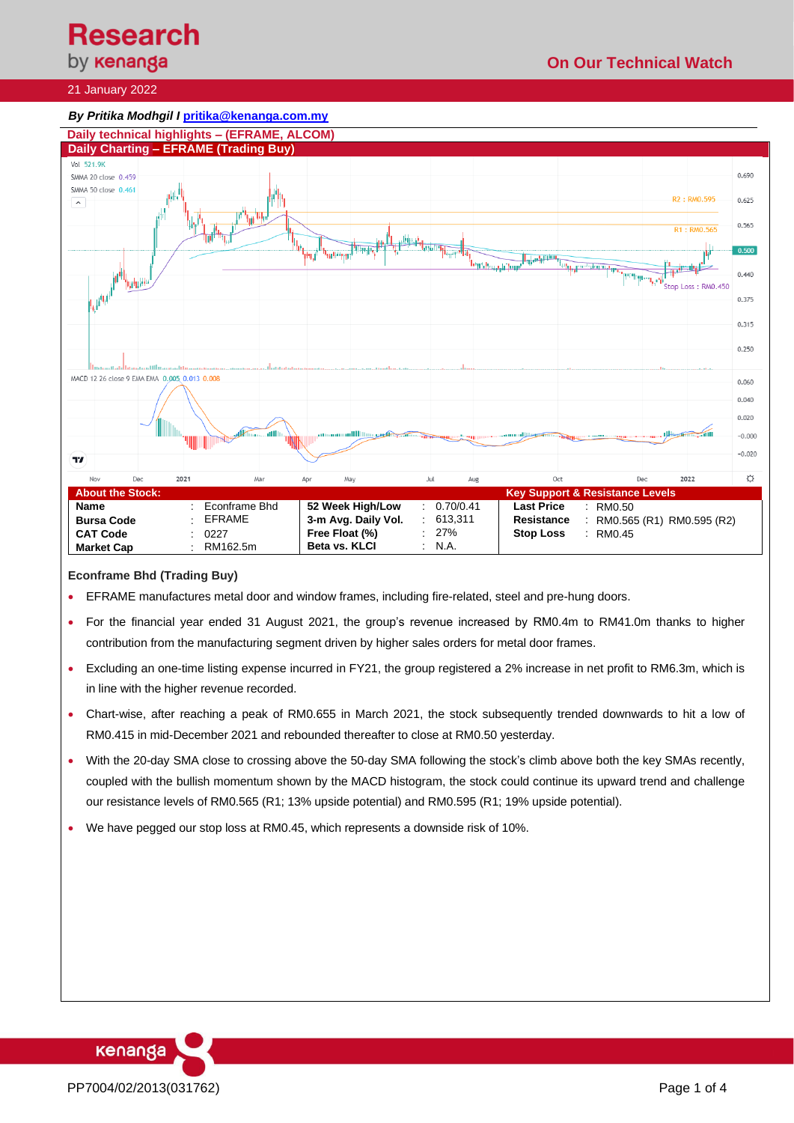# by **kenanga**

## 21 January 2022



## **Econframe Bhd (Trading Buy)**

- EFRAME manufactures metal door and window frames, including fire-related, steel and pre-hung doors.
- For the financial year ended 31 August 2021, the group's revenue increased by RM0.4m to RM41.0m thanks to higher contribution from the manufacturing segment driven by higher sales orders for metal door frames.
- Excluding an one-time listing expense incurred in FY21, the group registered a 2% increase in net profit to RM6.3m, which is in line with the higher revenue recorded.
- Chart-wise, after reaching a peak of RM0.655 in March 2021, the stock subsequently trended downwards to hit a low of RM0.415 in mid-December 2021 and rebounded thereafter to close at RM0.50 yesterday.
- With the 20-day SMA close to crossing above the 50-day SMA following the stock's climb above both the key SMAs recently, coupled with the bullish momentum shown by the MACD histogram, the stock could continue its upward trend and challenge our resistance levels of RM0.565 (R1; 13% upside potential) and RM0.595 (R1; 19% upside potential).
- We have pegged our stop loss at RM0.45, which represents a downside risk of 10%.

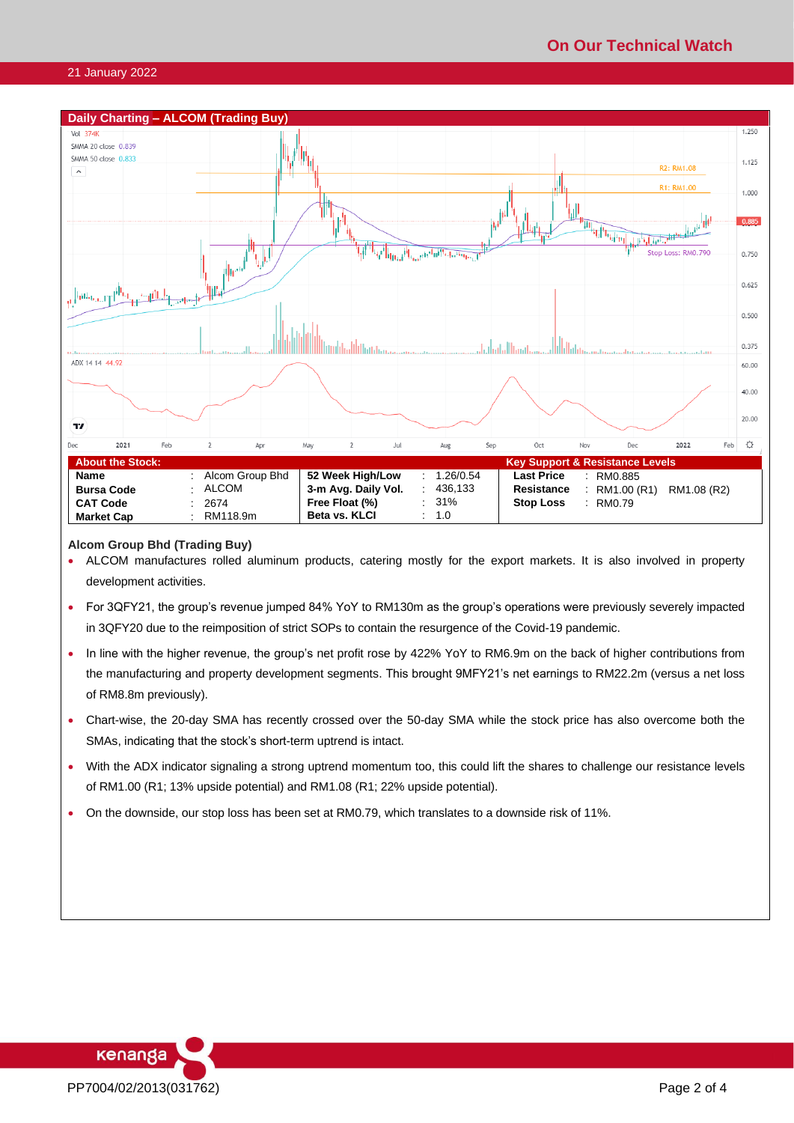#### 21 January 2022



### **Alcom Group Bhd (Trading Buy)**

- ALCOM manufactures rolled aluminum products, catering mostly for the export markets. It is also involved in property development activities.
- For 3QFY21, the group's revenue jumped 84% YoY to RM130m as the group's operations were previously severely impacted in 3QFY20 due to the reimposition of strict SOPs to contain the resurgence of the Covid-19 pandemic.
- In line with the higher revenue, the group's net profit rose by 422% YoY to RM6.9m on the back of higher contributions from the manufacturing and property development segments. This brought 9MFY21's net earnings to RM22.2m (versus a net loss of RM8.8m previously).
- Chart-wise, the 20-day SMA has recently crossed over the 50-day SMA while the stock price has also overcome both the SMAs, indicating that the stock's short-term uptrend is intact.
- With the ADX indicator signaling a strong uptrend momentum too, this could lift the shares to challenge our resistance levels of RM1.00 (R1; 13% upside potential) and RM1.08 (R1; 22% upside potential).
- On the downside, our stop loss has been set at RM0.79, which translates to a downside risk of 11%.

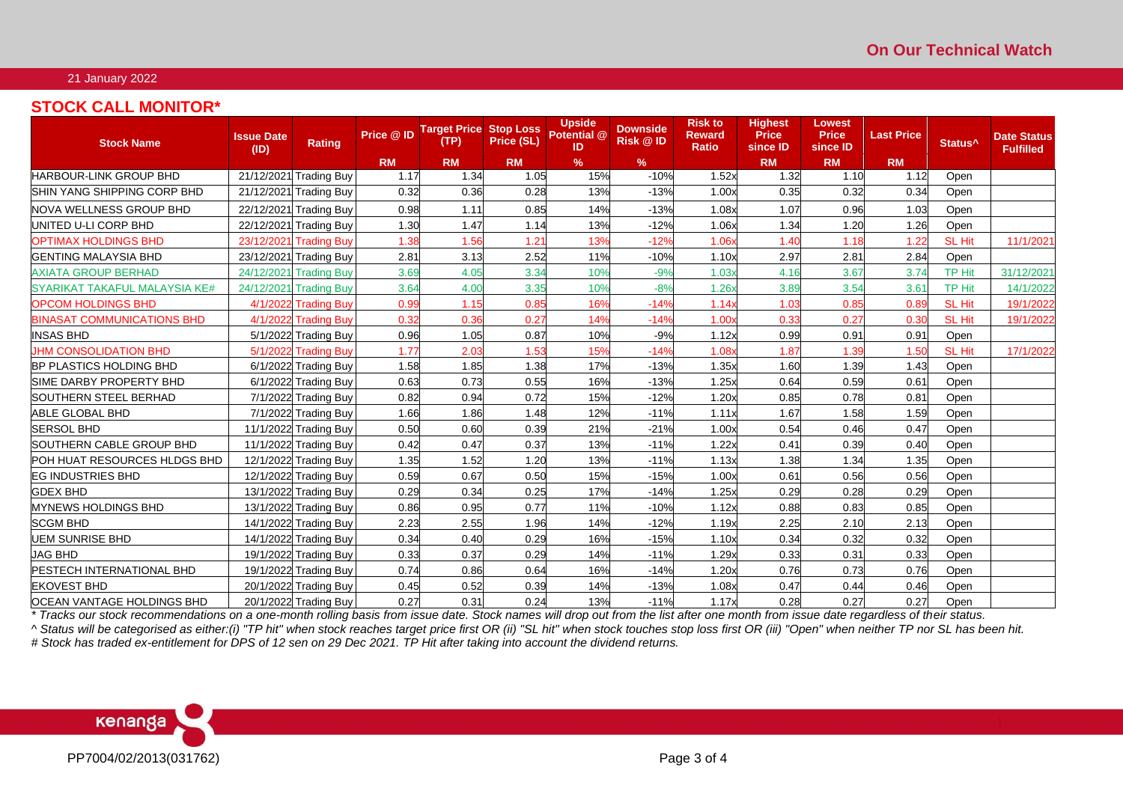## 21 January 2022

## **STOCK CALL MONITOR\***

| <b>Stock Name</b>                   | <b>Issue Date</b><br>(ID) | <b>Rating</b>          | Price @ ID | <b>Target Price</b><br>(TP) | <b>Stop Loss</b><br>Price (SL) | <b>Upside</b><br>Potential @<br>ID | <b>Downside</b><br><b>Risk @ ID</b> | <b>Risk to</b><br><b>Reward</b><br>Ratio | <b>Highest</b><br><b>Price</b><br>since ID | Lowest<br><b>Price</b><br>since ID | <b>Last Price</b> | Status <sup>^</sup> | <b>Date Status</b><br><b>Fulfilled</b> |
|-------------------------------------|---------------------------|------------------------|------------|-----------------------------|--------------------------------|------------------------------------|-------------------------------------|------------------------------------------|--------------------------------------------|------------------------------------|-------------------|---------------------|----------------------------------------|
|                                     |                           |                        | <b>RM</b>  | <b>RM</b>                   | <b>RM</b>                      | $\%$                               | $\%$                                |                                          | <b>RM</b>                                  | <b>RM</b>                          | <b>RM</b>         |                     |                                        |
| <b>HARBOUR-LINK GROUP BHD</b>       |                           | 21/12/2021 Trading Buy | 1.17       | 1.34                        | 1.05                           | 15%                                | $-10%$                              | 1.52x                                    | 1.32                                       | 1.10                               | 1.12              | Open                |                                        |
| SHIN YANG SHIPPING CORP BHD         |                           | 21/12/2021 Trading Buy | 0.32       | 0.36                        | 0.28                           | 13%                                | $-13%$                              | 1.00x                                    | 0.35                                       | 0.32                               | 0.34              | Open                |                                        |
| <b>NOVA WELLNESS GROUP BHD</b>      |                           | 22/12/2021 Trading Buy | 0.98       | 1.11                        | 0.85                           | 14%                                | $-13%$                              | 1.08x                                    | 1.07                                       | 0.96                               | 1.03              | Open                |                                        |
| UNITED U-LI CORP BHD                |                           | 22/12/2021 Trading Buy | 1.30       | 1.47                        | 1.14                           | 13%                                | $-12%$                              | 1.06x                                    | 1.34                                       | 1.20                               | 1.26              | Open                |                                        |
| <b>OPTIMAX HOLDINGS BHD</b>         |                           | 23/12/2021 Trading Buy | 1.38       | 1.56                        | 1.21                           | 13%                                | $-12%$                              | 1.06x                                    | 1.40                                       | 1.18                               | 1.22              | SL Hit              | 11/1/202                               |
| <b>GENTING MALAYSIA BHD</b>         |                           | 23/12/2021 Trading Buy | 2.81       | 3.13                        | 2.52                           | 11%                                | $-10%$                              | 1.10x                                    | 2.97                                       | 2.81                               | 2.84              | Open                |                                        |
| <b>AXIATA GROUP BERHAD</b>          |                           | 24/12/2021 Trading Buy | 3.69       | 4.05                        | 3.34                           | 10%                                | $-9%$                               | 1.03x                                    | 4.16                                       | 3.67                               | 3.74              | <b>TP Hit</b>       | 31/12/2021                             |
| SYARIKAT TAKAFUL MALAYSIA KE#       |                           | 24/12/2021 Trading Buy | 3.64       | 4.00                        | 3.35                           | 10%                                | $-8%$                               | 1.26x                                    | 3.89                                       | 3.54                               | 3.61              | TP Hit              | 14/1/2022                              |
| <b>OPCOM HOLDINGS BHD</b>           |                           | 4/1/2022 Trading Buy   | 0.99       | 1.15                        | 0.85                           | 16%                                | $-14%$                              | 1.14x                                    | 1.03                                       | 0.85                               | 0.89              | SL Hit              | 19/1/2022                              |
| <b>BINASAT COMMUNICATIONS BHD</b>   |                           | 4/1/2022 Trading Buy   | 0.32       | 0.36                        | 0.27                           | 14%                                | $-14%$                              | 1.00x                                    | 0.33                                       | 0.27                               | 0.30              | <b>SL Hit</b>       | 19/1/2022                              |
| <b>INSAS BHD</b>                    |                           | 5/1/2022 Trading Buy   | 0.96       | 1.05                        | 0.87                           | 10%                                | $-9%$                               | 1.12x                                    | 0.99                                       | 0.91                               | 0.91              | Open                |                                        |
| <b>JHM CONSOLIDATION BHD</b>        |                           | 5/1/2022 Trading Buy   | 1.77       | 2.03                        | 1.53                           | 15%                                | $-14%$                              | 1.08x                                    | 1.87                                       | 1.39                               | 1.50              | <b>SL Hit</b>       | 17/1/2022                              |
| <b>BP PLASTICS HOLDING BHD</b>      |                           | 6/1/2022 Trading Buy   | 1.58       | 1.85                        | 1.38                           | 17%                                | $-13%$                              | 1.35x                                    | 1.60                                       | 1.39                               | 1.43              | Open                |                                        |
| SIME DARBY PROPERTY BHD             |                           | 6/1/2022 Trading Buy   | 0.63       | 0.73                        | 0.55                           | 16%                                | $-13%$                              | 1.25x                                    | 0.64                                       | 0.59                               | 0.61              | Open                |                                        |
| SOUTHERN STEEL BERHAD               |                           | 7/1/2022 Trading Buy   | 0.82       | 0.94                        | 0.72                           | 15%                                | $-12%$                              | 1.20x                                    | 0.85                                       | 0.78                               | 0.81              | Open                |                                        |
| ABLE GLOBAL BHD                     |                           | 7/1/2022 Trading Buy   | 1.66       | 1.86                        | 1.48                           | 12%                                | $-11%$                              | 1.11x                                    | 1.67                                       | 1.58                               | 1.59              | Open                |                                        |
| <b>SERSOL BHD</b>                   |                           | 11/1/2022 Trading Buy  | 0.50       | 0.60                        | 0.39                           | 21%                                | $-21%$                              | 1.00x                                    | 0.54                                       | 0.46                               | 0.47              | Open                |                                        |
| SOUTHERN CABLE GROUP BHD            |                           | 11/1/2022 Trading Buy  | 0.42       | 0.47                        | 0.37                           | 13%                                | $-11%$                              | 1.22x                                    | 0.41                                       | 0.39                               | 0.40              | Open                |                                        |
| <b>POH HUAT RESOURCES HLDGS BHD</b> |                           | 12/1/2022 Trading Buy  | 1.35       | 1.52                        | 1.20                           | 13%                                | $-11%$                              | 1.13x                                    | 1.38                                       | 1.34                               | 1.35              | Open                |                                        |
| <b>EG INDUSTRIES BHD</b>            |                           | 12/1/2022 Trading Buy  | 0.59       | 0.67                        | 0.50                           | 15%                                | $-15%$                              | 1.00x                                    | 0.61                                       | 0.56                               | 0.56              | Open                |                                        |
| <b>GDEX BHD</b>                     |                           | 13/1/2022 Trading Buy  | 0.29       | 0.34                        | 0.25                           | 17%                                | $-14%$                              | 1.25x                                    | 0.29                                       | 0.28                               | 0.29              | Open                |                                        |
| <b>MYNEWS HOLDINGS BHD</b>          |                           | 13/1/2022 Trading Buy  | 0.86       | 0.95                        | 0.77                           | 11%                                | $-10%$                              | 1.12x                                    | 0.88                                       | 0.83                               | 0.85              | Open                |                                        |
| <b>SCGM BHD</b>                     |                           | 14/1/2022 Trading Buy  | 2.23       | 2.55                        | 1.96                           | 14%                                | $-12%$                              | 1.19x                                    | 2.25                                       | 2.10                               | 2.13              | Open                |                                        |
| <b>UEM SUNRISE BHD</b>              |                           | 14/1/2022 Trading Buy  | 0.34       | 0.40                        | 0.29                           | 16%                                | $-15%$                              | 1.10x                                    | 0.34                                       | 0.32                               | 0.32              | Open                |                                        |
| <b>JAG BHD</b>                      |                           | 19/1/2022 Trading Buy  | 0.33       | 0.37                        | 0.29                           | 14%                                | $-11%$                              | 1.29x                                    | 0.33                                       | 0.31                               | 0.33              | Open                |                                        |
| <b>PESTECH INTERNATIONAL BHD</b>    |                           | 19/1/2022 Trading Buy  | 0.74       | 0.86                        | 0.64                           | 16%                                | $-14%$                              | 1.20x                                    | 0.76                                       | 0.73                               | 0.76              | Open                |                                        |
| <b>EKOVEST BHD</b>                  |                           | 20/1/2022 Trading Buy  | 0.45       | 0.52                        | 0.39                           | 14%                                | $-13%$                              | 1.08x                                    | 0.47                                       | 0.44                               | 0.46              | Open                |                                        |
| <b>OCEAN VANTAGE HOLDINGS BHD</b>   |                           | 20/1/2022 Trading Buy  | 0.27       | 0.31                        | 0.24                           | 13%                                | $-11%$                              | 1.17x                                    | 0.28                                       | 0.27                               | 0.27              | Open                |                                        |

*\* Tracks our stock recommendations on a one-month rolling basis from issue date. Stock names will drop out from the list after one month from issue date regardless of their status. ^ Status will be categorised as either:(i) "TP hit" when stock reaches target price first OR (ii) "SL hit" when stock touches stop loss first OR (iii) "Open" when neither TP nor SL has been hit. # Stock has traded ex-entitlement for DPS of 12 sen on 29 Dec 2021. TP Hit after taking into account the dividend returns.*